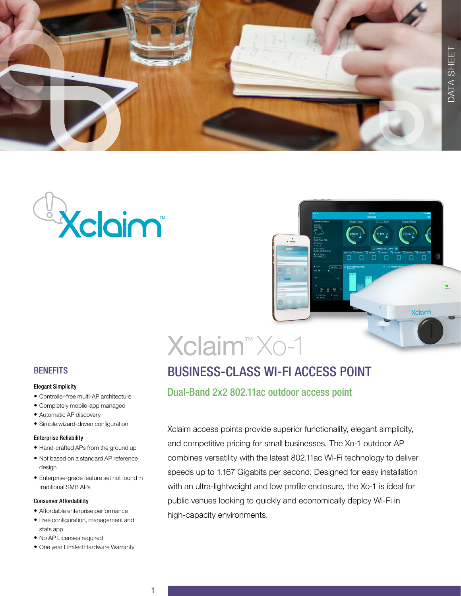





# Xclaim™ Xo-1

# BUSINESS-CLASS WI-FI ACCESS POINT

Dual-Band 2x2 802.11ac outdoor access point

Xclaim access points provide superior functionality, elegant simplicity, and competitive pricing for small businesses. The Xo-1 outdoor AP combines versatility with the latest 802.11ac Wi-Fi technology to deliver speeds up to 1.167 Gigabits per second. Designed for easy installation with an ultra-lightweight and low profile enclosure, the Xo-1 is ideal for public venues looking to quickly and economically deploy Wi-Fi in high-capacity environments.

## **BENEFITS**

#### Elegant Simplicity

- Controller-free multi-AP architecture
- Completely mobile-app managed
- Automatic AP discovery
- Simple wizard-driven configuration

### Enterprise Reliability

- Hand-crafted APs from the ground up
- Not based on a standard AP reference design
- Enterprise-grade feature set not found in traditional SMB APs

### Consumer Affordability

- Affordable enterprise performance
- Free configuration, management and stats app
- No AP Licenses required
- One year Limited Hardware Warranty

1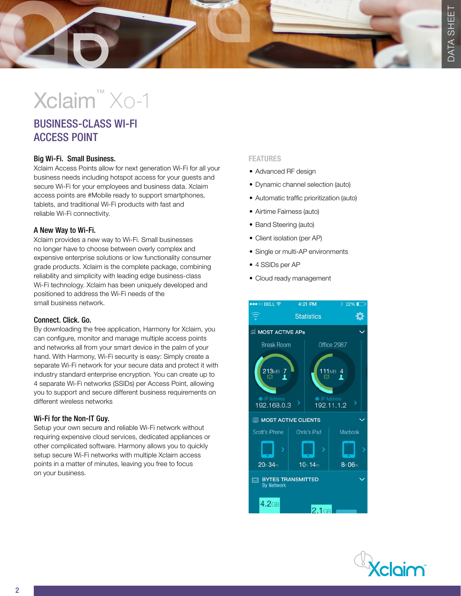# Xclaim™ Xo-1

## BUSINESS-CLASS WI-FI ACCESS POINT

## Big Wi-Fi. Small Business.

Xclaim Access Points allow for next generation Wi-Fi for all your business needs including hotspot access for your guests and secure Wi-Fi for your employees and business data. Xclaim access points are #Mobile ready to support smartphones, tablets, and traditional Wi-Fi products with fast and reliable Wi-Fi connectivity.

## A New Way to Wi-Fi.

Xclaim provides a new way to Wi-Fi. Small businesses no longer have to choose between overly complex and expensive enterprise solutions or low functionality consumer grade products. Xclaim is the complete package, combining reliability and simplicity with leading edge business-class Wi-Fi technology. Xclaim has been uniquely developed and positioned to address the Wi-Fi needs of the small business network.

## Connect. Click. Go.

By downloading the free application, Harmony for Xclaim, you can configure, monitor and manage multiple access points and networks all from your smart device in the palm of your hand. With Harmony, Wi-Fi security is easy: Simply create a separate Wi-Fi network for your secure data and protect it with industry standard enterprise encryption. You can create up to 4 separate Wi-Fi networks (SSIDs) per Access Point, allowing you to support and secure different business requirements on different wireless networks

## Wi-Fi for the Non-IT Guy.

Setup your own secure and reliable Wi-Fi network without requiring expensive cloud services, dedicated appliances or other complicated software. Harmony allows you to quickly setup secure Wi-Fi networks with multiple Xclaim access points in a matter of minutes, leaving you free to focus on your business.

### FEATURES

- Advanced RF design
- Dynamic channel selection (auto)
- Automatic traffic prioritization (auto)
- Airtime Fairness (auto)
- Band Steering (auto)
- Client isolation (per AP)
- Single or multi-AP environments
- 4 SSIDs per AP
- Cloud ready management